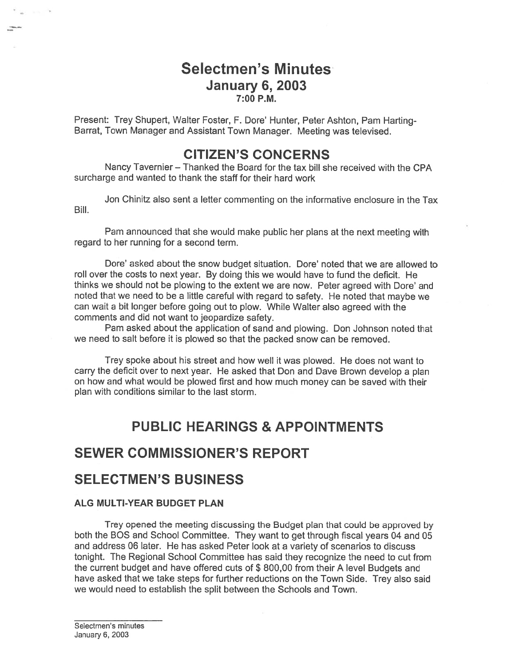## Selectmen's Minutes January 6, 2003 7:00 P.M.

Present: Trey Shupert, Walter Foster, F. Dore' Hunter, Peter Ashton, Pam Harting Barrat, Town Manager and Assistant Town Manager. Meeting was televised.

## CITIZEN'S CONCERNS

Nancy Tavernier — Thanked the Board for the tax bill she received with the CPA surcharge and wanted to thank the staff for their hard work

Jon Chinitz also sent <sup>a</sup> letter commenting on the informative enclosure in the Tax Bill.

Pam announced that she would make public her <sup>p</sup>lans at the next meeting with regard to her running for <sup>a</sup> second term.

Dore' asked about the snow budget situation. Dore' noted that we are allowed to toll over the costs to next year. By doing this we would have to fund the deficit. He thinks we should not be <sup>p</sup>lowing to the extent we are now. Peter agreed with Dore' and noted that we need to be <sup>a</sup> little careful with regar<sup>d</sup> to safety. He noted that maybe we can wait <sup>a</sup> bit longer before going out to plow. While Walter also agreed with the comments and did not want to jeopardize safety.

Pam asked about the application of sand and plowing. Don Johnson noted that we need to salt before it is plowed so that the packed snow can be removed.

Trey spoke about his street and how well it was plowed. He does not want to carry the deficit over to next year. He asked that Don and Dave Brown develop <sup>a</sup> <sup>p</sup>lan on how and what would be plowed first and how much money can be saved with their plan with conditions similar to the last storm.

# PUBLIC HEARINGS & APPOINTMENTS

# SEWER COMMISSIONER'S REPORT

## SELECTMEN'S BUSINESS

#### ALG MULTI-YEAR BUDGET PLAN

Trey opene<sup>d</sup> the meeting discussing the Budget <sup>p</sup>lan that could be approve<sup>d</sup> by both the BOS and School Committee. They want to ge<sup>t</sup> through fiscal years 04 and 05 and address 06 later. He has asked Peter look at <sup>a</sup> variety of scenarios to discuss tonight. The Regional School Committee has said they recognize the need to cut from the current budget and have offered cuts of \$ 800,00 from their <sup>A</sup> level Budgets and have asked that we take steps for further reductions on the Town Side. Trey also said we would need to establish the split between the Schools and Town.

**Security**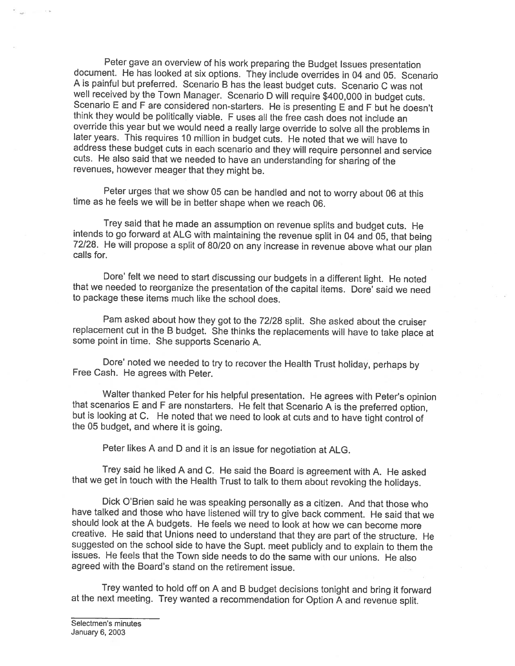Peter gave an overview of his work preparing the Budget Issues presentation document. He has looked at six options. They include overrides in 04 and 05. Scenario A is painful but preferred. Scenario B has the least budget well received by the Town Manager. Scenario D will require \$400,000 in budget cuts.<br>Scenario E and F are considered non-starters. He is presenting E and F but he doesn't<br>think they would be politically viable. F uses all t later years. This requires 10 million in budget cuts. He noted that we will have to address these budget cuts in each scenario and they will require personnel and service cuts. He also said that we needed to have an understanding for sharing of the revenues, however meager that they might be.

Peter urges that we show <sup>05</sup> can be handled and not to worry about <sup>06</sup> at this time as he feels we will be in better shape when we reach 06.

Trey said that he made an assumption on revenue splits and budget cuts. He intends to go forward at ALG with maintaining the revenue split in 04 and 05, that being 72/28. He will propose a split of 80/20 on any increase in

Dore' felt we need to start discussing our budgets in a different light. He noted that we needed to reorganize the presentation of the capital items. Dore' said we need to package these items much like the school does.

Pam asked about how they got to the 72/28 split. She asked about the cruiser replacement cut in the <sup>B</sup> budget. She thinks the replacements will have to take <sup>p</sup>lace at some point in time. She supports Scenario A.

Dore' noted we needed to try to recover the Health Trust holiday, perhaps by Free Cash. He agrees with Peter.

Walter thanked Peter for his helpful presentation. He agrees with Peter's opinion<br>that scenarios E and F are nonstarters. He felt that Scenario A is the preferred option,<br>but is looking at C. He noted that we need to look

Peter likes <sup>A</sup> and <sup>D</sup> and it is an issue for negotiation at ALG.

Trey said he liked <sup>A</sup> and C. He said the Board is agreement with A. He asked that we get in touch with the Health Trust to talk to them about revoking the holidays.

Dick O'Brien said he was speaking personally as <sup>a</sup> citizen. And that those who have talked and those who have listened will try to <sup>g</sup>ive back comment. He said that we should look at the <sup>A</sup> budgets. He feels we need to look at how we can become more creative. He said that Unions need to understand that they are part of the structure. He suggested on the school side to have the Supt. meet publicly and to explain to them the issues. He feels that the Town side needs to do the same with our unions. He also agreed with the Board's stand on the retirement issue.

Trey wanted to hold off on <sup>A</sup> and <sup>B</sup> budget decisions tonight and bring it forward at the next meeting. Trey wanted <sup>a</sup> recommendation for Option <sup>A</sup> and revenue split.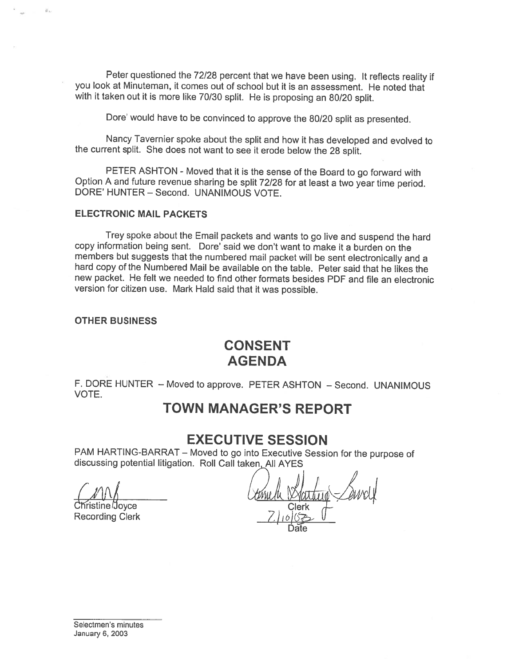Peter questioned the 72/28 percent that we have been using. It reflects reality if you look at Minuteman, it comes out of school but it is an assessment. He noted that with it taken out it is more like 70/30 split. He is proposing an 80/20 split.

Dote' would have to be convinced to approve the 80/20 split as presented.

Nancy Tavernier spoke about the split and how it has developed and evolved to the current split. She does not want to see it erode below the <sup>28</sup> split.

PETER ASHTON - Moved that it is the sense of the Board to go forward with Option <sup>A</sup> and future revenue sharing be split 72/28 for at least <sup>a</sup> two year time period. DORE' HUNTER — Second. UNANIMOUS VOTE.

#### ELECTRONIC MAIL PACKETS

Trey spoke about the Email packets and wants to go live and suspend the hard copy information being sent. Dore' said we don't want to make it <sup>a</sup> burden on the hard copy of the Numbered Mail be available on the table. Peter said that he likes the new packet. He felt we needed to find other formats besides PDF and file an electronic version for citizen use. Mark Hald said that it was possible.

#### OTHER BUSINESS

ä.

## CONSENT AGENDA

F. DORE HUNTER — Moved to approve. PETER ASHTON — Second. UNANIMOUS VOTE.

## TOWN MANAGER'S REPORT

### EXECUTIVE SESSION

PAM HARTING-BARRAT – Moved to go into Executive Session for the purpose of discussing potential litigation. Roll Call taken All AYES

istine Joyce I Recording Clerk

Date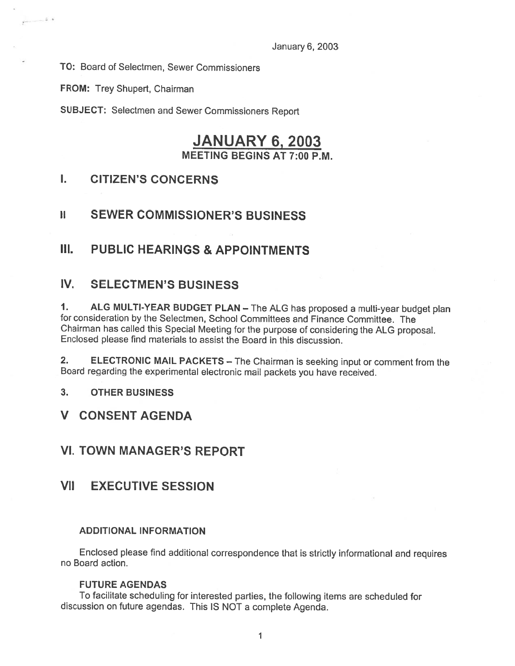TO: Board of Selectmen, Sewer Commissioners

FROM: Trey Shupert, Chairman

 $\hat{\mathbf{r}} \cdot \mathbf{t}$ 

SUBJECT: Selectmen and Sewer Commissioners Report

## JANUARY 6, 2003 MEETING BEGINS AT 7:00 P.M.

### I. CITIZEN'S CONCERNS

### II SEWER COMMISSIONER'S BUSINESS

### III. PUBLIC HEARINGS & APPOINTMENTS

### IV. SELECTMEN'S BUSINESS

1. ALG MULTI-YEAR BUDGET PLAN — The ALG has proposed <sup>a</sup> multi-year budget <sup>p</sup>lan for consideration by the Selectmen, School Committees and Finance Committee. The Chairman has called this Special Meeting for the purpose of considering the ALG proposal. Enclosed <sup>p</sup>lease find materials to assist the Board in this discussion.

2. ELECTRONIC MAIL PACKETS — The Chairman is seeking input or comment from the Board regarding the experimental electronic mail packets you have received.

- 3. OTHER BUSINESS
- V CONSENT AGENDA

### VI. TOWN MANAGER'S REPORT

## VII EXECUTIVE SESSION

#### ADDITIONAL INFORMATION

Enclosed <sup>p</sup>lease find additional correspondence that is strictly informational and requires no Board action.

#### FUTURE AGENDAS

To facilitate scheduling for interested parties, the following items are scheduled for discussion on future agendas. This IS NOT <sup>a</sup> complete Agenda.